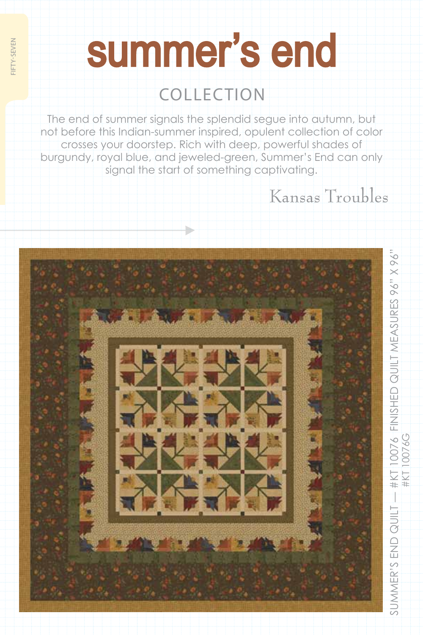## summer's end

fifty-seven

**IFTY-SEVEN** 

### collection

The end of summer signals the splendid segue into autumn, but not before this Indian-summer inspired, opulent collection of color crosses your doorstep. Rich with deep, powerful shades of burgundy, royal blue, and jeweled-green, Summer's End can only signal the start of something captivating.

Kansas Troubles

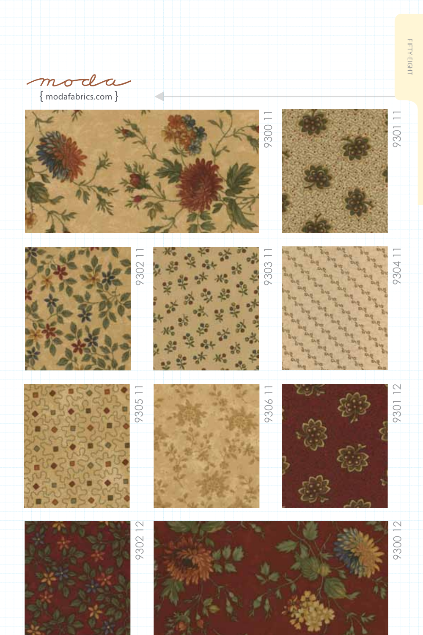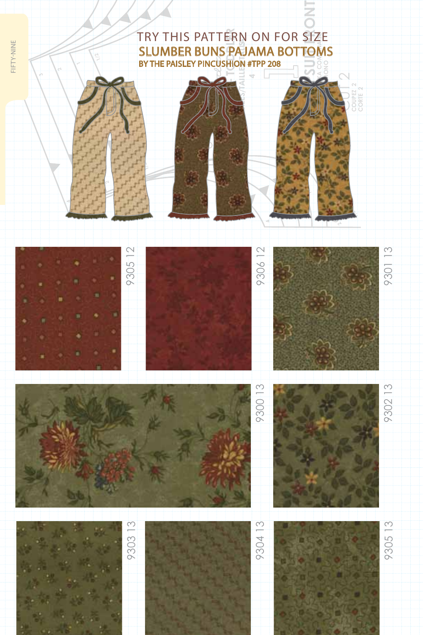#### TRY THIS PATTERN ON FOR SIZE slumber buns pajama bottoms by the paisley pincushion #tpp 208



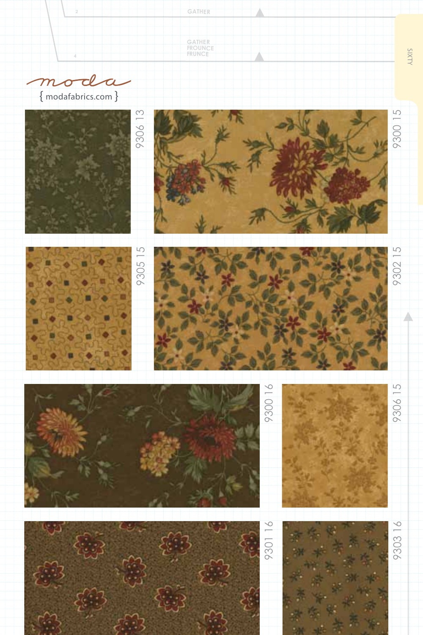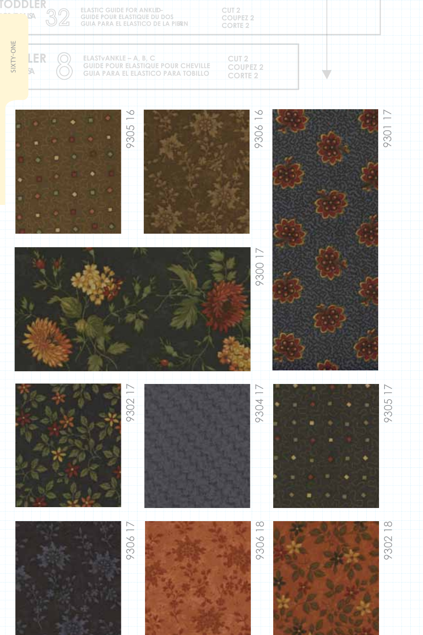